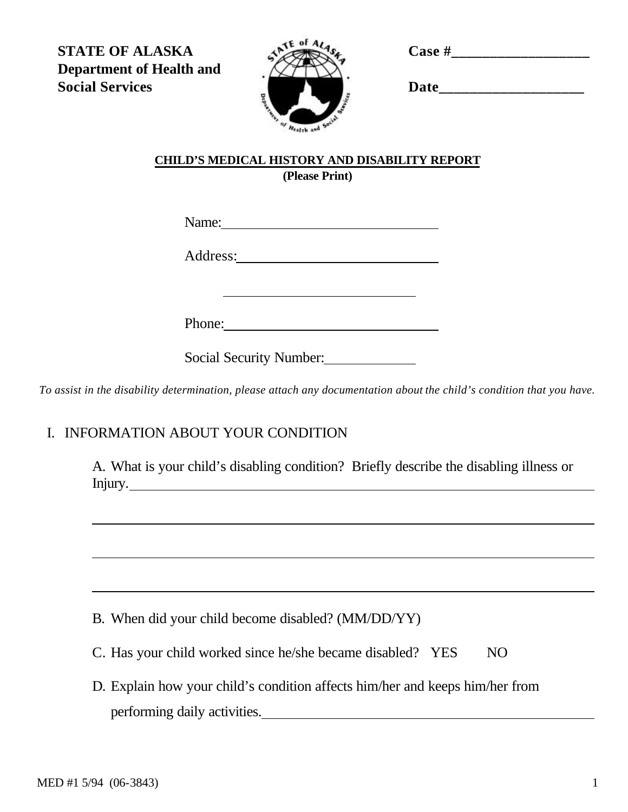**Case #\_\_\_\_\_\_\_\_\_\_\_\_\_\_\_\_\_\_**

**STATE OF ALASKA Department of Health and Social Services**



| <b>Date</b> |  |  |  |
|-------------|--|--|--|
|             |  |  |  |

## **CHILD'S MEDICAL HISTORY AND DISABILITY REPORT (Please Print)**

Name:

Address:

Phone:

Social Security Number:

*To assist in the disability determination, please attach any documentation about the child's condition that you have.*

## I. INFORMATION ABOUT YOUR CONDITION

A. What is your child's disabling condition? Briefly describe the disabling illness or Injury.

B. When did your child become disabled? (MM/DD/YY)

C. Has your child worked since he/she became disabled? YES NO

D. Explain how your child's condition affects him/her and keeps him/her from performing daily activities.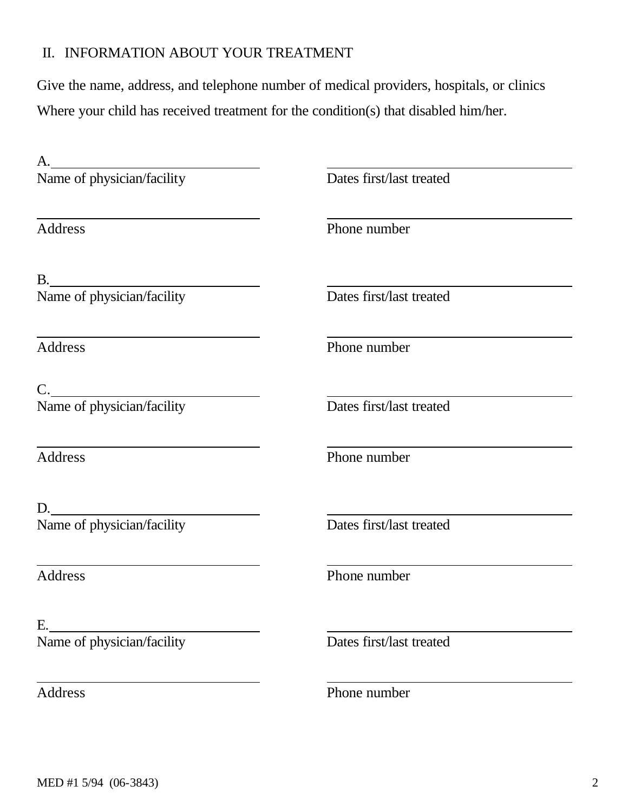## II. INFORMATION ABOUT YOUR TREATMENT

Give the name, address, and telephone number of medical providers, hospitals, or clinics Where your child has received treatment for the condition(s) that disabled him/her.

| А.                                                                    |                          |
|-----------------------------------------------------------------------|--------------------------|
| Name of physician/facility                                            | Dates first/last treated |
| Address                                                               | Phone number             |
|                                                                       |                          |
| B.<br>Name of physician/facility                                      | Dates first/last treated |
| <u> 1980 - Johann Barn, amerikansk politiker (d. 1980)</u><br>Address | Phone number             |
| C.                                                                    |                          |
| Name of physician/facility                                            | Dates first/last treated |
| Address                                                               | Phone number             |
|                                                                       |                          |
| D.<br>Name of physician/facility                                      | Dates first/last treated |
| <b>Address</b>                                                        | Phone number             |
| Е.                                                                    |                          |
| Name of physician/facility                                            | Dates first/last treated |
| Address                                                               | Phone number             |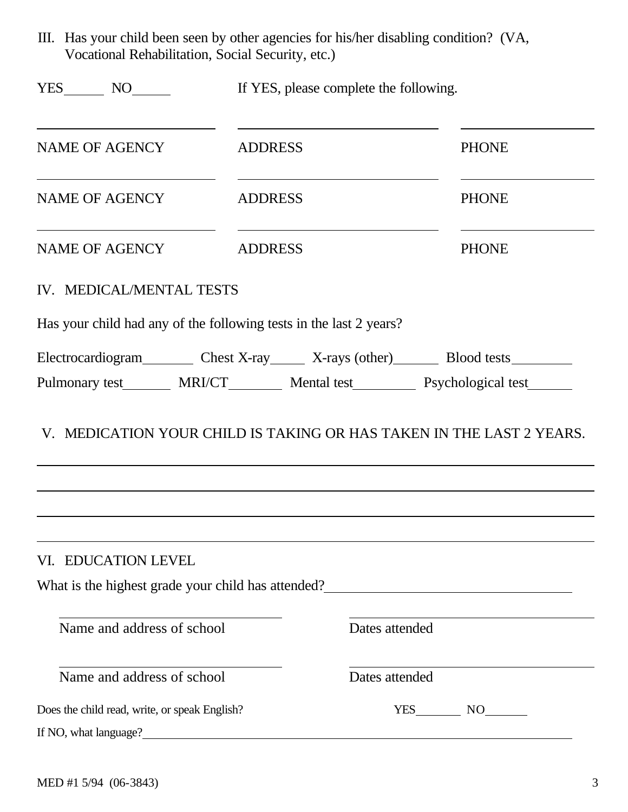III. Has your child been seen by other agencies for his/her disabling condition? (VA, Vocational Rehabilitation, Social Security, etc.)

| $YES$ NO $\qquad$                                                                                                                                                                                                                                                   | If YES, please complete the following.        |                |              |
|---------------------------------------------------------------------------------------------------------------------------------------------------------------------------------------------------------------------------------------------------------------------|-----------------------------------------------|----------------|--------------|
| <b>NAME OF AGENCY</b>                                                                                                                                                                                                                                               | <b>ADDRESS</b>                                |                | <b>PHONE</b> |
| <b>NAME OF AGENCY</b>                                                                                                                                                                                                                                               | <b>ADDRESS</b>                                |                | <b>PHONE</b> |
| <b>NAME OF AGENCY</b>                                                                                                                                                                                                                                               | <b>ADDRESS</b>                                |                | <b>PHONE</b> |
| IV. MEDICAL/MENTAL TESTS                                                                                                                                                                                                                                            |                                               |                |              |
| Has your child had any of the following tests in the last 2 years?                                                                                                                                                                                                  |                                               |                |              |
| Electrocardiogram Chest X-ray X-rays (other) Blood tests                                                                                                                                                                                                            |                                               |                |              |
| Pulmonary test _______ MRI/CT_________ Mental test_________ Psychological test_______                                                                                                                                                                               |                                               |                |              |
| V. MEDICATION YOUR CHILD IS TAKING OR HAS TAKEN IN THE LAST 2 YEARS.                                                                                                                                                                                                |                                               |                |              |
| VI. EDUCATION LEVEL<br>What is the highest grade your child has attended?<br><u>Letting</u> the manufacture of the highest grade your child has attended?<br><u>Letting the manufacture of the statended</u> and the highest statended in the statended of the stat |                                               |                |              |
| Name and address of school                                                                                                                                                                                                                                          |                                               | Dates attended |              |
| Name and address of school                                                                                                                                                                                                                                          |                                               | Dates attended |              |
| Does the child read, write, or speak English?                                                                                                                                                                                                                       |                                               |                | YES NO       |
| If NO, what language?_                                                                                                                                                                                                                                              | <u> 1980 - Jan Samuel Barbara, margaret e</u> |                |              |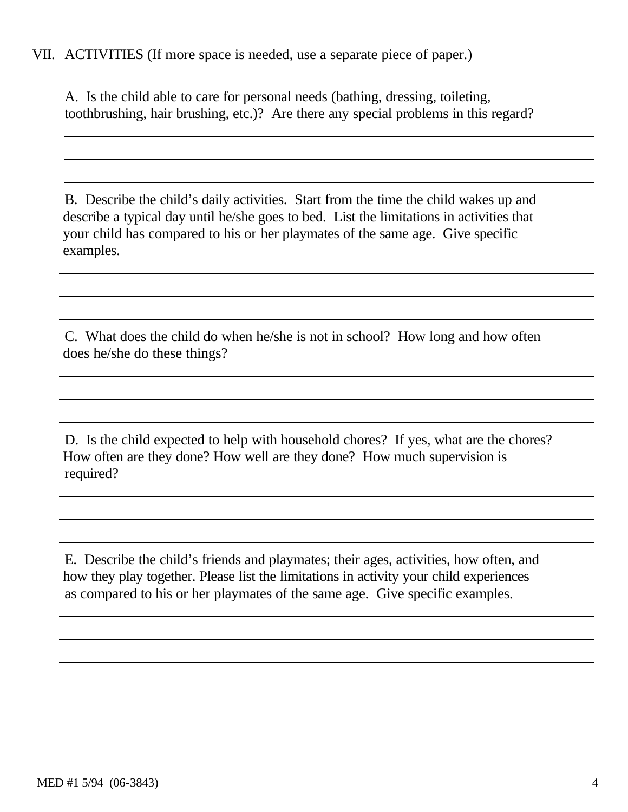## VII. ACTIVITIES (If more space is needed, use a separate piece of paper.)

A. Is the child able to care for personal needs (bathing, dressing, toileting, toothbrushing, hair brushing, etc.)? Are there any special problems in this regard?

B. Describe the child's daily activities. Start from the time the child wakes up and describe a typical day until he/she goes to bed. List the limitations in activities that your child has compared to his or her playmates of the same age. Give specific examples.

C. What does the child do when he/she is not in school? How long and how often does he/she do these things?

D. Is the child expected to help with household chores? If yes, what are the chores? How often are they done? How well are they done? How much supervision is required?

E. Describe the child's friends and playmates; their ages, activities, how often, and how they play together. Please list the limitations in activity your child experiences as compared to his or her playmates of the same age. Give specific examples.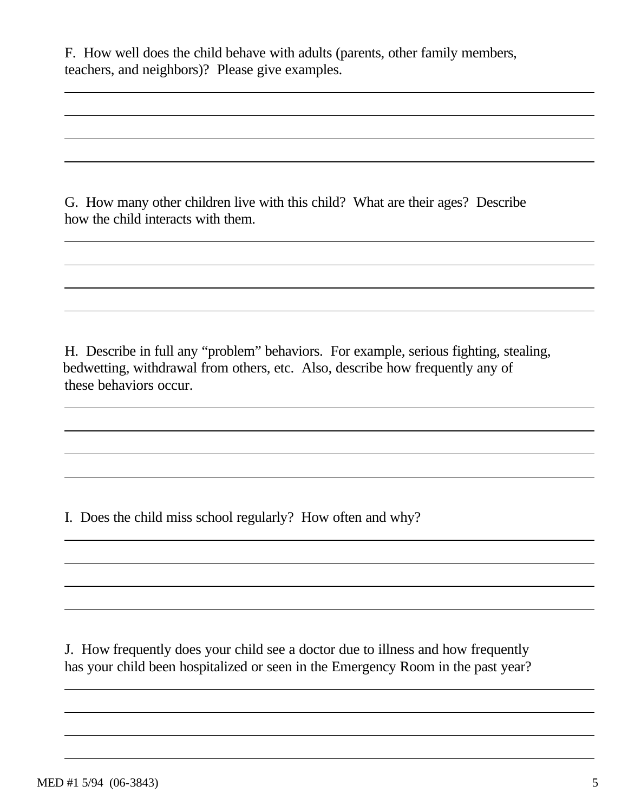F. How well does the child behave with adults (parents, other family members, teachers, and neighbors)? Please give examples.

G. How many other children live with this child? What are their ages? Describe how the child interacts with them.

H. Describe in full any "problem" behaviors. For example, serious fighting, stealing, bedwetting, withdrawal from others, etc. Also, describe how frequently any of these behaviors occur.

I. Does the child miss school regularly? How often and why?

J. How frequently does your child see a doctor due to illness and how frequently has your child been hospitalized or seen in the Emergency Room in the past year?